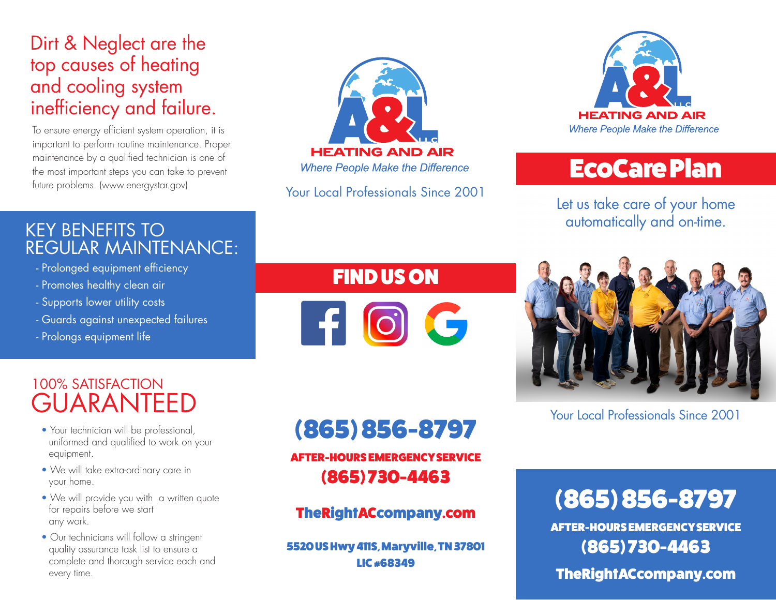### Dirt & Neglect are the top causes of heating and cooling system inefficiency and failure.

To ensure energy efficient system operation, it is important to perform routine maintenance. Proper maintenance by a qualified technician is one of the most important steps you can take to prevent future problems. (www.energystar.gov)



Your Local Professionals Since 2001



## EcoCare Plan

Let us take care of your home automatically and on-time.

#### KEY BENEFITS TO REGULAR MAINTENANCE:

- Prolonged equipment efficiency
- Promotes healthy clean air
- Supports lower utility costs
- Guards against unexpected failures
- Prolongs equipment life

### FIND US ON

FI O C



Your Local Professionals Since 2001

### 100% SATISFACTION GUARANTEED

- Your technician will be professional. uniformed and qualified to work on your equipment.
- We will take extra-ordinary care in your home.
- We will provide you with a written quote for repairs before we start any work.
- Our technicians will follow a stringent quality assurance task list to ensure a complete and thorough service each and every time.

# (865) 856-8797

AFTER-HOURS EMERGENCY SERVICE (865) 730-4463

#### TheRightACcompany.com

5520 US Hwy 411S, Maryville, TN 37801 LIC #68349

## (865) 856-8797

AFTER-HOURS EMERGENCY SERVICE (865) 730-4463

#### TheRightACcompany.com